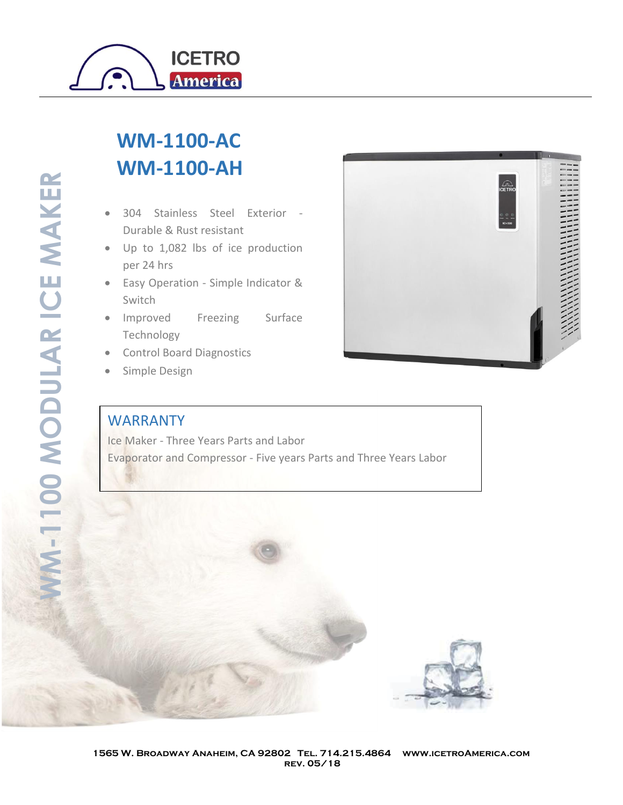

## **WM-1100-AC WM-1100-AH**

- 304 Stainless Steel Exterior Durable & Rust resistant
- Up to 1,082 lbs of ice production per 24 hrs
- Easy Operation Simple Indicator & Switch
- Improved Freezing Surface Technology
- Control Board Diagnostics
- Simple Design

## WARRANTY

Ice Maker - Three Years Parts and Labor Evaporator and Compressor - Five years Parts and Three Years Labor